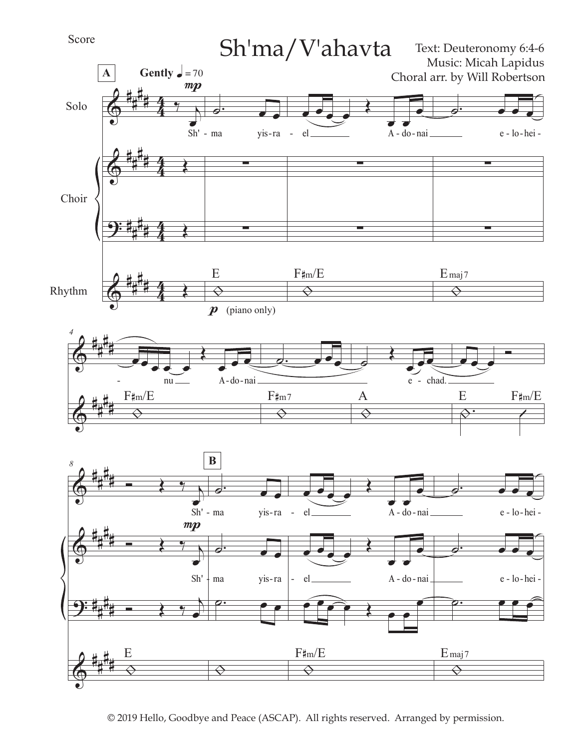## Score



© 2019 Hello, Goodbye and Peace (ASCAP). All rights reserved. Arranged by permission.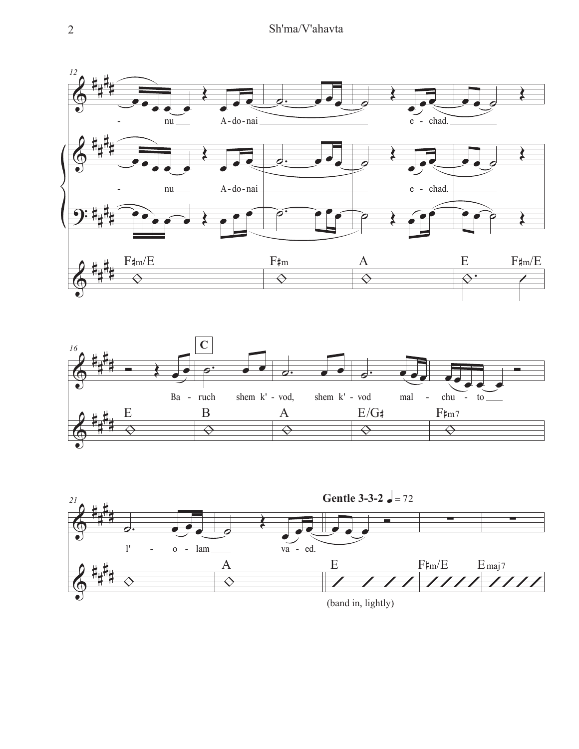



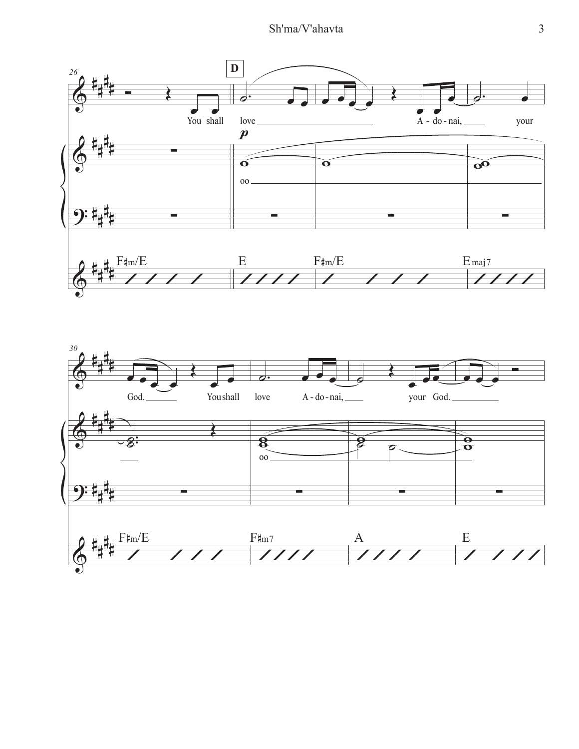

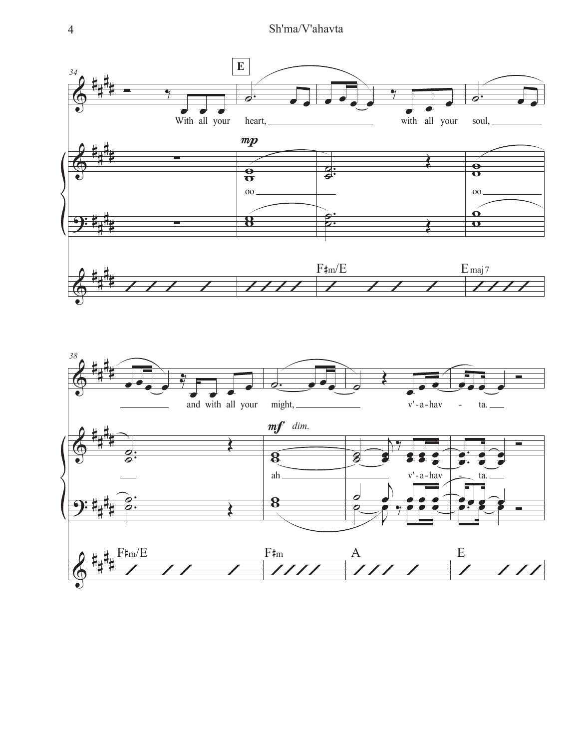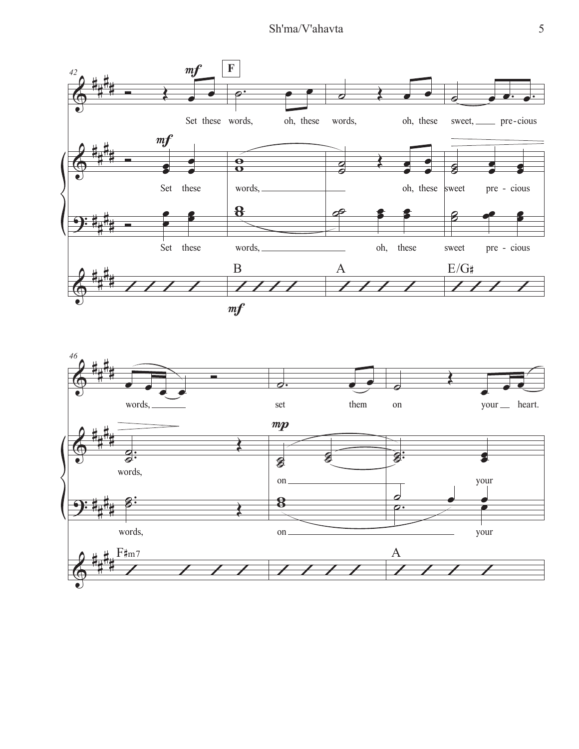

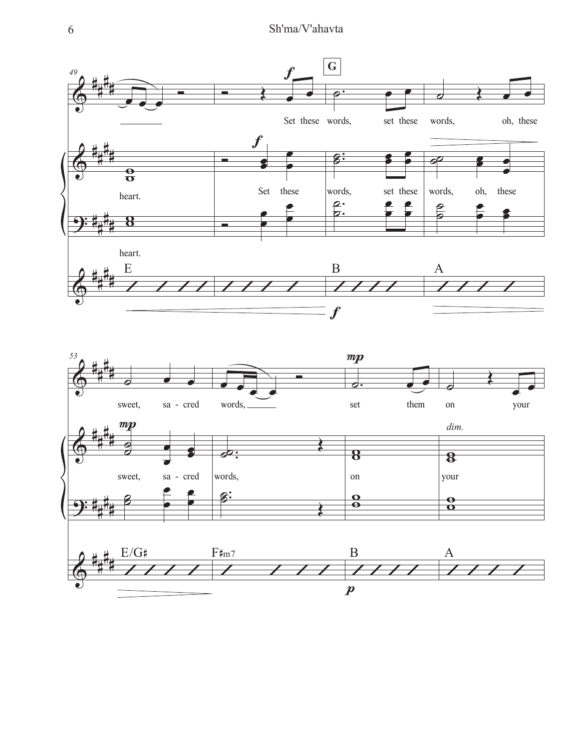